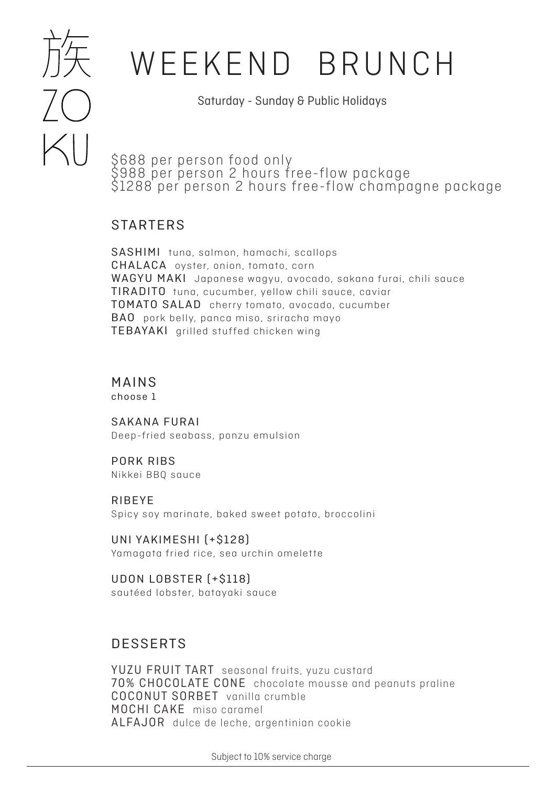

## WEEKEND BRUNCH

Saturday - Sunday & Public Holidays

\$688 per person food only \$988 per person 2 hours free-flow package \$1288 per person 2 hours free-flow champagne package

## STARTERS

SASHIMI tuna, salmon, hamachi, scallops CHALACA oyster, onion, tomato, corn WAGYU MAKI Japanese wagyu, avocado, sakana furai, chili sauce TIRADITO tuna, cucumber, yellow chili sauce, caviar TOMATO SALAD cherry tomato, avocado, cucumber BAO pork belly, panca miso, sriracha mayo TEBAYAKI grilled stuffed chicken wing

### MAINS choose 1

SAKANA FURAI Deep-fried seabass, ponzu emulsion

PORK RIBS Nikkei BBQ sauce

RIBEYE Spicy soy marinate, baked sweet potato, broccolini

UNI YAKIMESHI (+\$128) Yamagata fried rice, sea urchin omelette

UDON LOBSTER (+\$118) sautéed lobster, batayaki sauce

## DESSERTS

YUZU FRUIT TART seasonal fruits, yuzu custard 70% CHOCOLATE CONE chocolate mousse and peanuts praline COCONUT SORBET vanilla crumble MOCHI CAKE miso caramel ALFAJOR dulce de leche, argentinian cookie

Subject to 10% service charge